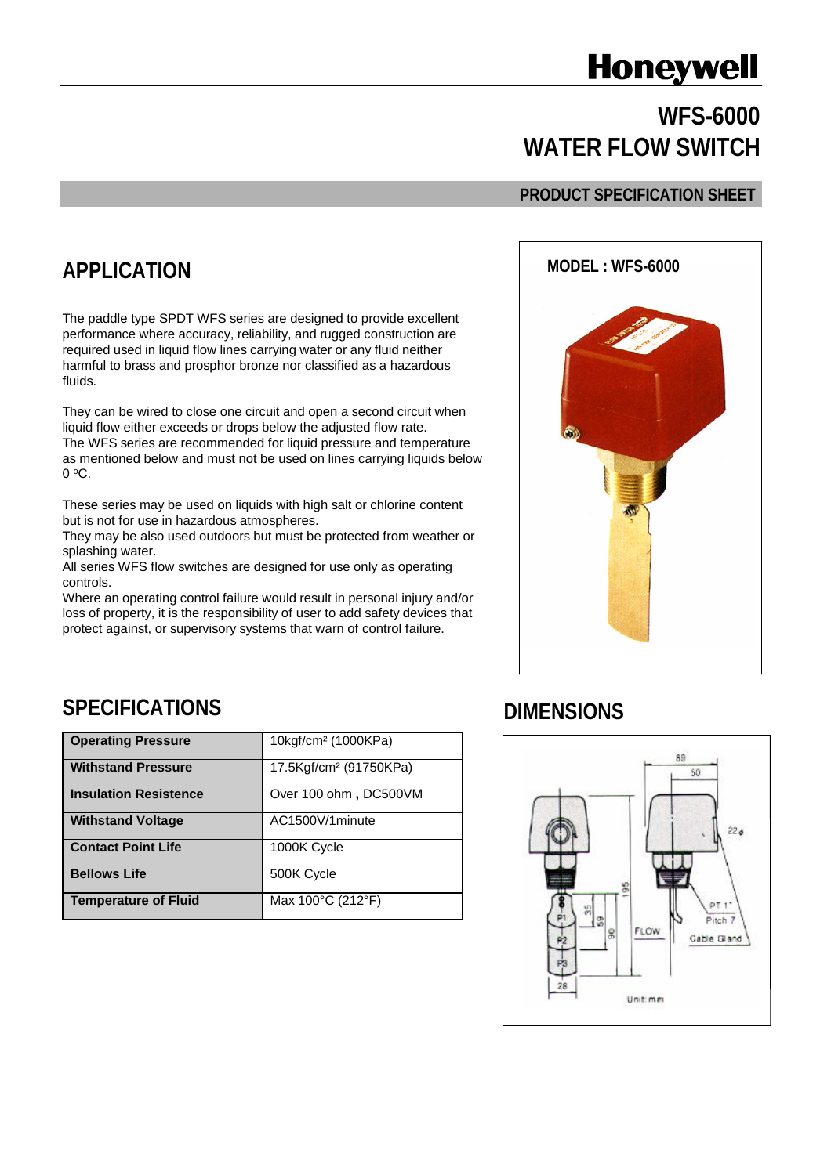# **Honeywell**

# **WFS-6000 WATER FLOW SWITCH**

#### **PRODUCT SPECIFICATION SHEET**

### **APPLICATION**

The paddle type SPDT WFS series are designed to provide excellent performance where accuracy, reliability, and rugged construction are required used in liquid flow lines carrying water or any fluid neither harmful to brass and prosphor bronze nor classified as a hazardous fluids.

They can be wired to close one circuit and open a second circuit when liquid flow either exceeds or drops below the adjusted flow rate. The WFS series are recommended for liquid pressure and temperature as mentioned below and must not be used on lines carrying liquids below 0 <sup>o</sup>C.

These series may be used on liquids with high salt or chlorine content but is not for use in hazardous atmospheres.

They may be also used outdoors but must be protected from weather or splashing water.

All series WFS flow switches are designed for use only as operating controls.

Where an operating control failure would result in personal injury and/or loss of property, it is the responsibility of user to add safety devices that protect against, or supervisory systems that warn of control failure.



#### **SPECIFICATIONS**

| <b>Operating Pressure</b>    | 10kgf/cm <sup>2</sup> (1000KPa)        |  |
|------------------------------|----------------------------------------|--|
| <b>Withstand Pressure</b>    | 17.5Kgf/cm <sup>2</sup> (91750KPa)     |  |
| <b>Insulation Resistence</b> | Over 100 ohm, DC500VM                  |  |
| <b>Withstand Voltage</b>     | AC1500V/1minute                        |  |
| <b>Contact Point Life</b>    | 1000K Cycle                            |  |
| <b>Bellows Life</b>          | 500K Cycle                             |  |
| <b>Temperature of Fluid</b>  | Max $100^{\circ}$ C (212 $^{\circ}$ F) |  |

#### **DIMENSIONS**